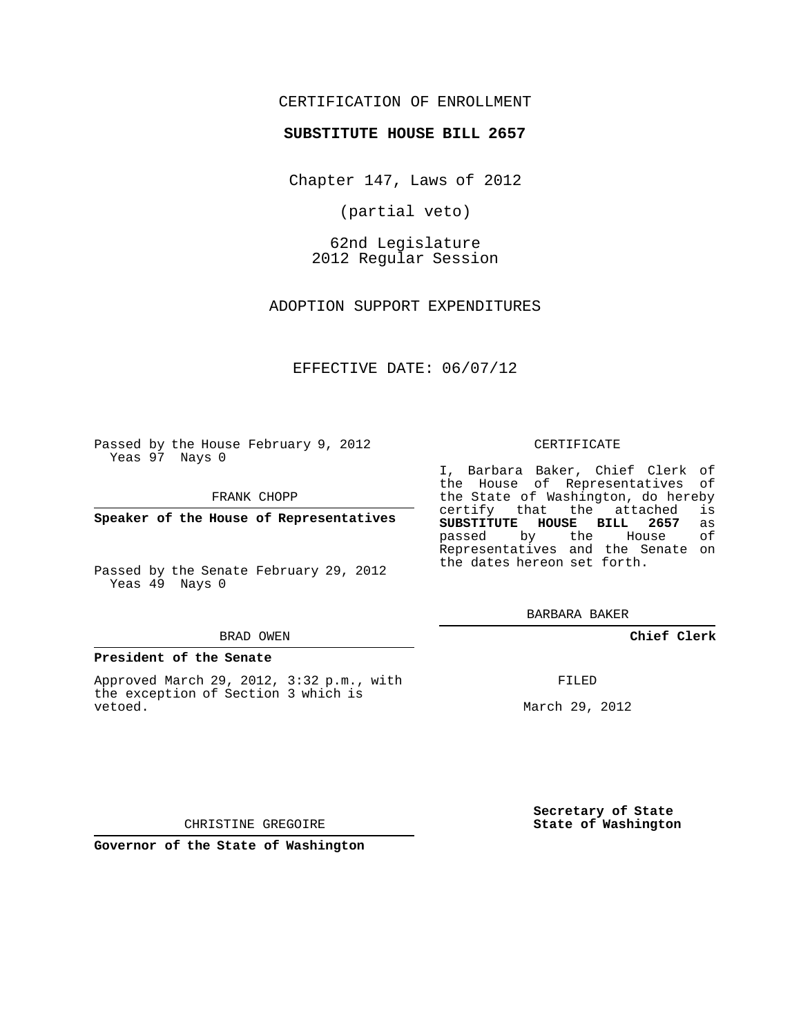## CERTIFICATION OF ENROLLMENT

### **SUBSTITUTE HOUSE BILL 2657**

Chapter 147, Laws of 2012

(partial veto)

62nd Legislature 2012 Regular Session

ADOPTION SUPPORT EXPENDITURES

EFFECTIVE DATE: 06/07/12

Passed by the House February 9, 2012 Yeas 97 Nays 0

FRANK CHOPP

**Speaker of the House of Representatives**

Passed by the Senate February 29, 2012 Yeas 49 Nays 0

#### BRAD OWEN

#### **President of the Senate**

Approved March 29, 2012, 3:32 p.m., with the exception of Section 3 which is vetoed.

CERTIFICATE

I, Barbara Baker, Chief Clerk of the House of Representatives of the State of Washington, do hereby<br>certify that the attached is certify that the attached **SUBSTITUTE HOUSE BILL 2657** as passed by the House Representatives and the Senate on the dates hereon set forth.

BARBARA BAKER

**Chief Clerk**

FILED

March 29, 2012

**Secretary of State State of Washington**

CHRISTINE GREGOIRE

**Governor of the State of Washington**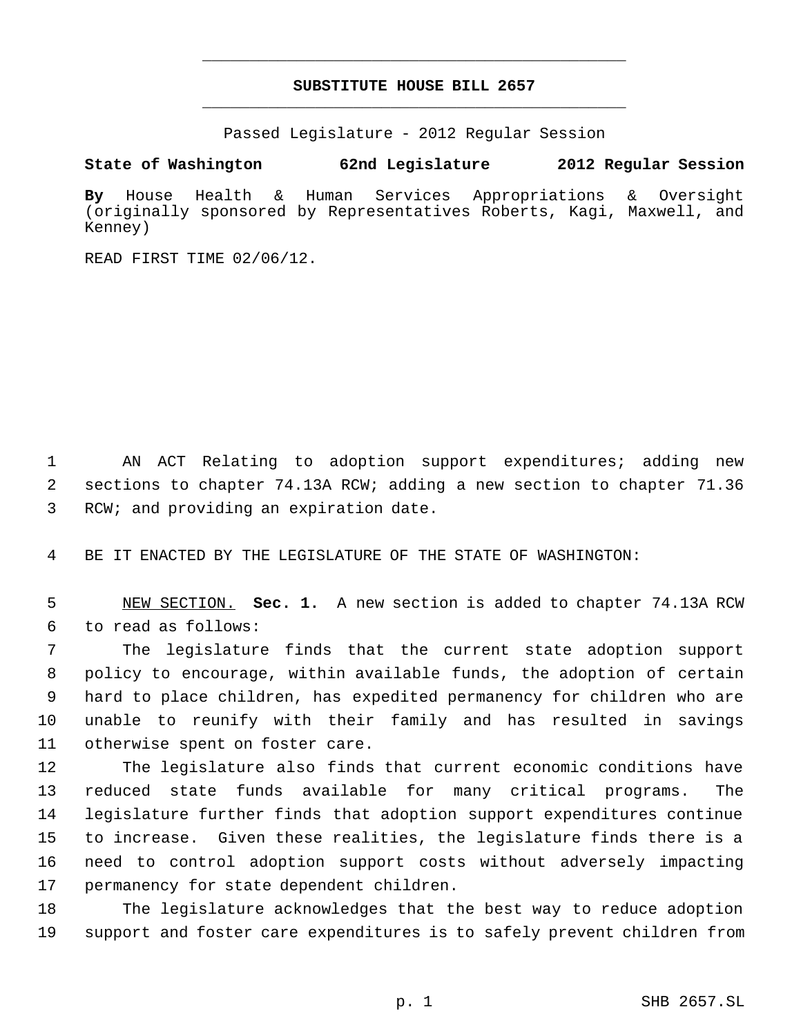# **SUBSTITUTE HOUSE BILL 2657** \_\_\_\_\_\_\_\_\_\_\_\_\_\_\_\_\_\_\_\_\_\_\_\_\_\_\_\_\_\_\_\_\_\_\_\_\_\_\_\_\_\_\_\_\_

\_\_\_\_\_\_\_\_\_\_\_\_\_\_\_\_\_\_\_\_\_\_\_\_\_\_\_\_\_\_\_\_\_\_\_\_\_\_\_\_\_\_\_\_\_

Passed Legislature - 2012 Regular Session

## **State of Washington 62nd Legislature 2012 Regular Session**

**By** House Health & Human Services Appropriations & Oversight (originally sponsored by Representatives Roberts, Kagi, Maxwell, and Kenney)

READ FIRST TIME 02/06/12.

 AN ACT Relating to adoption support expenditures; adding new sections to chapter 74.13A RCW; adding a new section to chapter 71.36 RCW; and providing an expiration date.

BE IT ENACTED BY THE LEGISLATURE OF THE STATE OF WASHINGTON:

 NEW SECTION. **Sec. 1.** A new section is added to chapter 74.13A RCW to read as follows:

 The legislature finds that the current state adoption support policy to encourage, within available funds, the adoption of certain hard to place children, has expedited permanency for children who are unable to reunify with their family and has resulted in savings otherwise spent on foster care.

 The legislature also finds that current economic conditions have reduced state funds available for many critical programs. The legislature further finds that adoption support expenditures continue to increase. Given these realities, the legislature finds there is a need to control adoption support costs without adversely impacting permanency for state dependent children.

 The legislature acknowledges that the best way to reduce adoption support and foster care expenditures is to safely prevent children from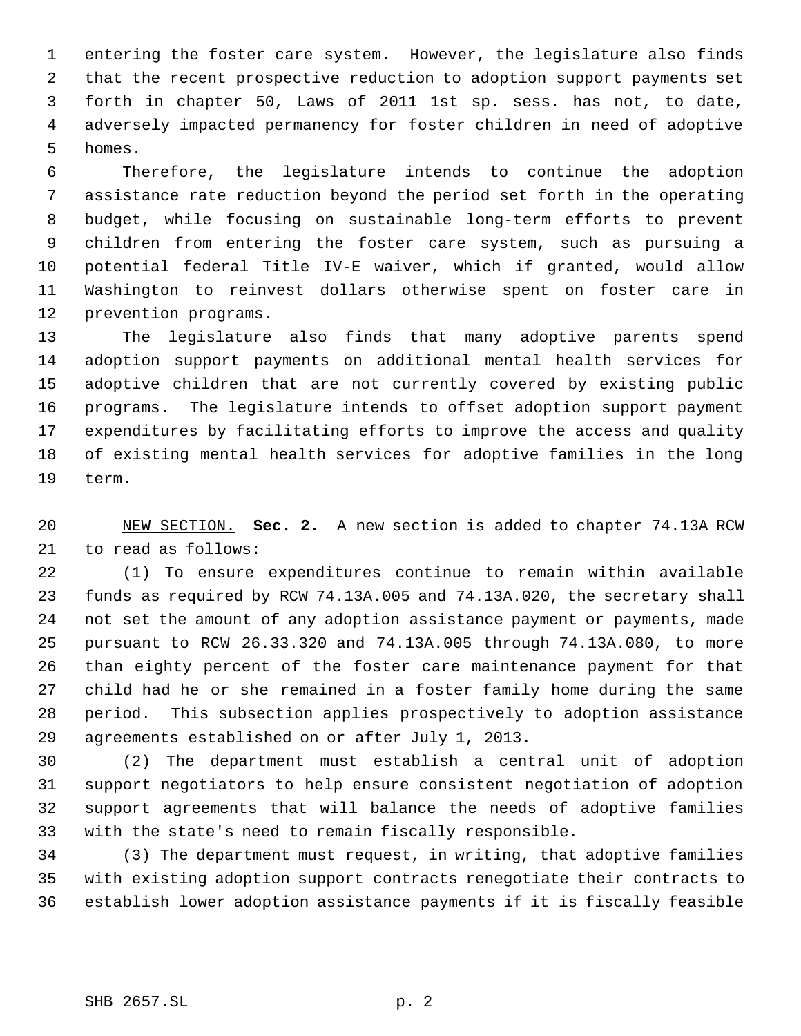entering the foster care system. However, the legislature also finds that the recent prospective reduction to adoption support payments set forth in chapter 50, Laws of 2011 1st sp. sess. has not, to date, adversely impacted permanency for foster children in need of adoptive homes.

 Therefore, the legislature intends to continue the adoption assistance rate reduction beyond the period set forth in the operating budget, while focusing on sustainable long-term efforts to prevent children from entering the foster care system, such as pursuing a potential federal Title IV-E waiver, which if granted, would allow Washington to reinvest dollars otherwise spent on foster care in prevention programs.

 The legislature also finds that many adoptive parents spend adoption support payments on additional mental health services for adoptive children that are not currently covered by existing public programs. The legislature intends to offset adoption support payment expenditures by facilitating efforts to improve the access and quality of existing mental health services for adoptive families in the long term.

 NEW SECTION. **Sec. 2.** A new section is added to chapter 74.13A RCW to read as follows:

 (1) To ensure expenditures continue to remain within available funds as required by RCW 74.13A.005 and 74.13A.020, the secretary shall not set the amount of any adoption assistance payment or payments, made pursuant to RCW 26.33.320 and 74.13A.005 through 74.13A.080, to more than eighty percent of the foster care maintenance payment for that child had he or she remained in a foster family home during the same period. This subsection applies prospectively to adoption assistance agreements established on or after July 1, 2013.

 (2) The department must establish a central unit of adoption support negotiators to help ensure consistent negotiation of adoption support agreements that will balance the needs of adoptive families with the state's need to remain fiscally responsible.

 (3) The department must request, in writing, that adoptive families with existing adoption support contracts renegotiate their contracts to establish lower adoption assistance payments if it is fiscally feasible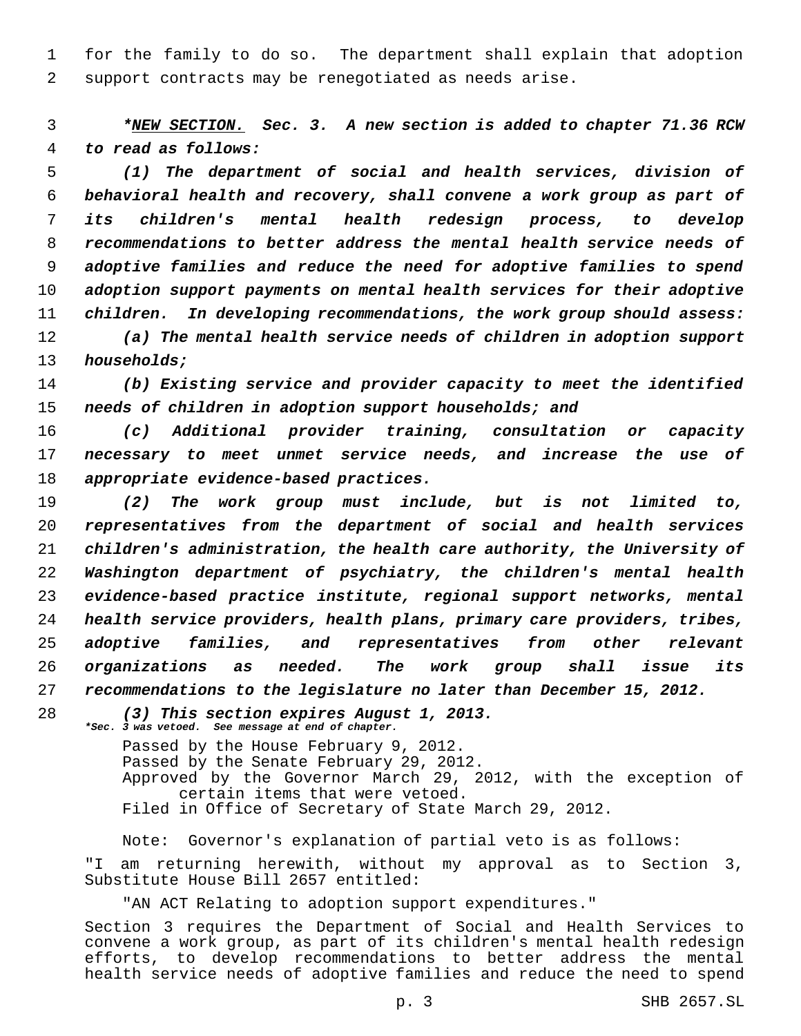for the family to do so. The department shall explain that adoption support contracts may be renegotiated as needs arise.

 *\*NEW SECTION. Sec. 3. A new section is added to chapter 71.36 RCW to read as follows:*

 *(1) The department of social and health services, division of behavioral health and recovery, shall convene a work group as part of its children's mental health redesign process, to develop recommendations to better address the mental health service needs of adoptive families and reduce the need for adoptive families to spend adoption support payments on mental health services for their adoptive children. In developing recommendations, the work group should assess: (a) The mental health service needs of children in adoption support*

*households;*

 *(b) Existing service and provider capacity to meet the identified needs of children in adoption support households; and*

 *(c) Additional provider training, consultation or capacity necessary to meet unmet service needs, and increase the use of appropriate evidence-based practices.*

 *(2) The work group must include, but is not limited to, representatives from the department of social and health services children's administration, the health care authority, the University of Washington department of psychiatry, the children's mental health evidence-based practice institute, regional support networks, mental health service providers, health plans, primary care providers, tribes, adoptive families, and representatives from other relevant organizations as needed. The work group shall issue its recommendations to the legislature no later than December 15, 2012.*

 *(3) This section expires August 1, 2013. \*Sec. 3 was vetoed. See message at end of chapter.*

> Passed by the House February 9, 2012. Passed by the Senate February 29, 2012. Approved by the Governor March 29, 2012, with the exception of certain items that were vetoed. Filed in Office of Secretary of State March 29, 2012.

Note: Governor's explanation of partial veto is as follows: "I am returning herewith, without my approval as to Section 3, Substitute House Bill 2657 entitled:

"AN ACT Relating to adoption support expenditures."

Section 3 requires the Department of Social and Health Services to convene a work group, as part of its children's mental health redesign efforts, to develop recommendations to better address the mental health service needs of adoptive families and reduce the need to spend